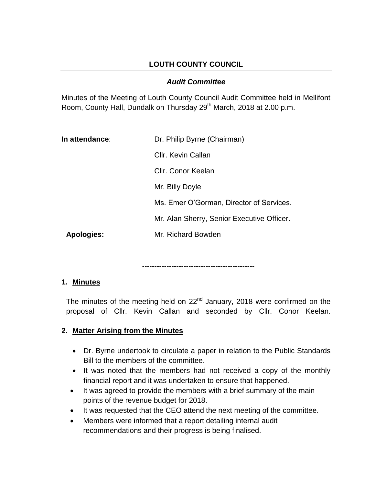# **LOUTH COUNTY COUNCIL**

### *Audit Committee*

Minutes of the Meeting of Louth County Council Audit Committee held in Mellifont Room, County Hall, Dundalk on Thursday 29<sup>th</sup> March, 2018 at 2.00 p.m.

| In attendance: | Dr. Philip Byrne (Chairman)                |
|----------------|--------------------------------------------|
|                | Cllr. Kevin Callan                         |
|                | Cllr. Conor Keelan                         |
|                | Mr. Billy Doyle                            |
|                | Ms. Emer O'Gorman, Director of Services.   |
|                | Mr. Alan Sherry, Senior Executive Officer. |
| Apologies:     | Mr. Richard Bowden                         |

----------------------------------------------

#### **1. Minutes**

The minutes of the meeting held on  $22<sup>nd</sup>$  January, 2018 were confirmed on the proposal of Cllr. Kevin Callan and seconded by Cllr. Conor Keelan.

# **2. Matter Arising from the Minutes**

- Dr. Byrne undertook to circulate a paper in relation to the Public Standards Bill to the members of the committee.
- It was noted that the members had not received a copy of the monthly financial report and it was undertaken to ensure that happened.
- It was agreed to provide the members with a brief summary of the main points of the revenue budget for 2018.
- It was requested that the CEO attend the next meeting of the committee.
- Members were informed that a report detailing internal audit recommendations and their progress is being finalised.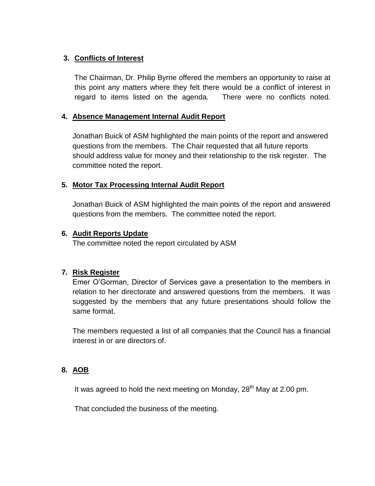# **3. Conflicts of Interest**

The Chairman, Dr. Philip Byrne offered the members an opportunity to raise at this point any matters where they felt there would be a conflict of interest in regard to items listed on the agenda. There were no conflicts noted.

#### **4. Absence Management Internal Audit Report**

Jonathan Buick of ASM highlighted the main points of the report and answered questions from the members. The Chair requested that all future reports should address value for money and their relationship to the risk register. The committee noted the report.

### **5. Motor Tax Processing Internal Audit Report**

Jonathan Buick of ASM highlighted the main points of the report and answered questions from the members. The committee noted the report.

#### **6. Audit Reports Update**

The committee noted the report circulated by ASM

#### **7. Risk Register**

Emer O'Gorman, Director of Services gave a presentation to the members in relation to her directorate and answered questions from the members. It was suggested by the members that any future presentations should follow the same format.

The members requested a list of all companies that the Council has a financial interest in or are directors of.

# **8. AOB**

It was agreed to hold the next meeting on Monday, 28<sup>th</sup> May at 2.00 pm.

That concluded the business of the meeting.